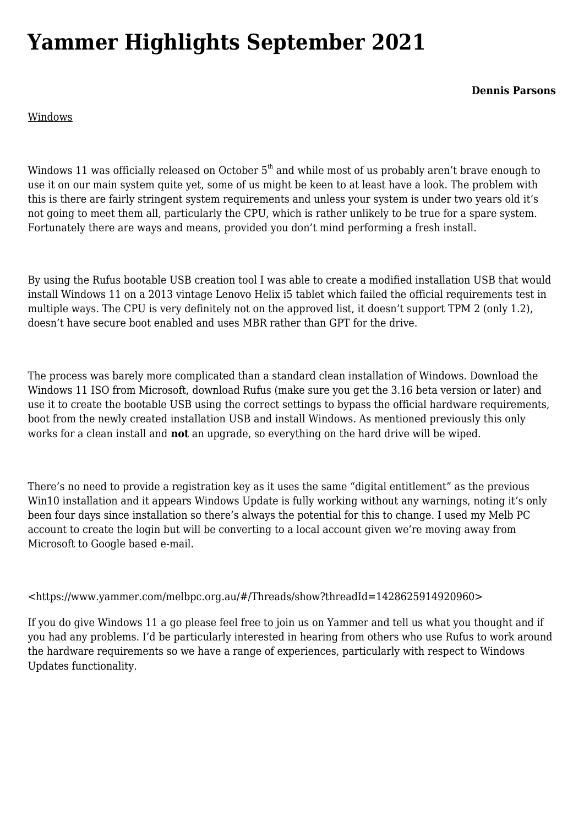# **[Yammer Highlights September 2021](https://www.melbpc.org.au/yammer-highlights-september-2021/)**

**Dennis Parsons**

## Windows

Windows 11 was officially released on October  $5<sup>th</sup>$  and while most of us probably aren't brave enough to use it on our main system quite yet, some of us might be keen to at least have a look. The problem with this is there are fairly stringent system requirements and unless your system is under two years old it's not going to meet them all, particularly the CPU, which is rather unlikely to be true for a spare system. Fortunately there are ways and means, provided you don't mind performing a fresh install.

By using the Rufus bootable USB creation tool I was able to create a modified installation USB that would install Windows 11 on a 2013 vintage Lenovo Helix i5 tablet which failed the official requirements test in multiple ways. The CPU is very definitely not on the approved list, it doesn't support TPM 2 (only 1.2), doesn't have secure boot enabled and uses MBR rather than GPT for the drive.

The process was barely more complicated than a standard clean installation of Windows. Download the Windows 11 ISO from Microsoft, download Rufus (make sure you get the 3.16 beta version or later) and use it to create the bootable USB using the correct settings to bypass the official hardware requirements, boot from the newly created installation USB and install Windows. As mentioned previously this only works for a clean install and **not** an upgrade, so everything on the hard drive will be wiped.

There's no need to provide a registration key as it uses the same "digital entitlement" as the previous Win10 installation and it appears Windows Update is fully working without any warnings, noting it's only been four days since installation so there's always the potential for this to change. I used my Melb PC account to create the login but will be converting to a local account given we're moving away from Microsoft to Google based e-mail.

### <<https://www.yammer.com/melbpc.org.au/#/Threads/show?threadId=1428625914920960>>

If you do give Windows 11 a go please feel free to join us on Yammer and tell us what you thought and if you had any problems. I'd be particularly interested in hearing from others who use Rufus to work around the hardware requirements so we have a range of experiences, particularly with respect to Windows Updates functionality.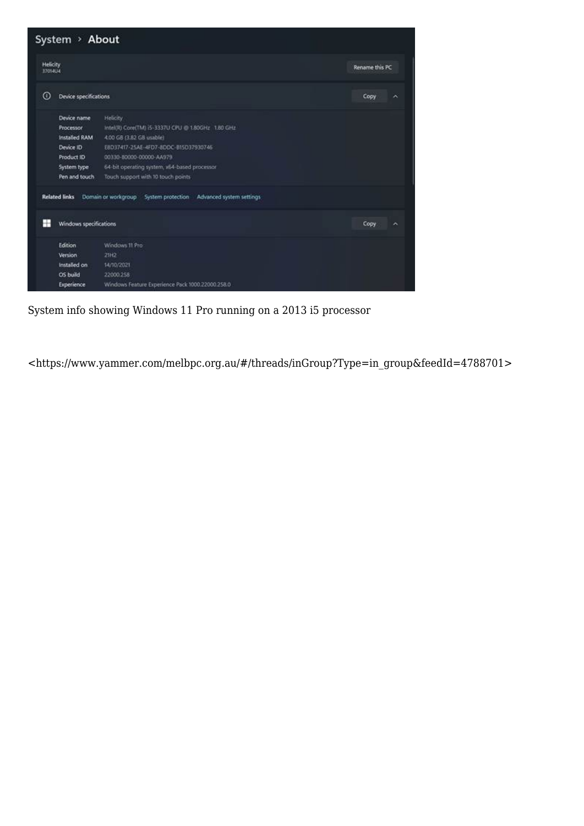

System info showing Windows 11 Pro running on a 2013 i5 processor

<[https://www.yammer.com/melbpc.org.au/#/threads/inGroup?Type=in\\_group&feedId=4788701](https://www.yammer.com/melbpc.org.au/#/threads/inGroup?Type=in_group&feedId=4788701)>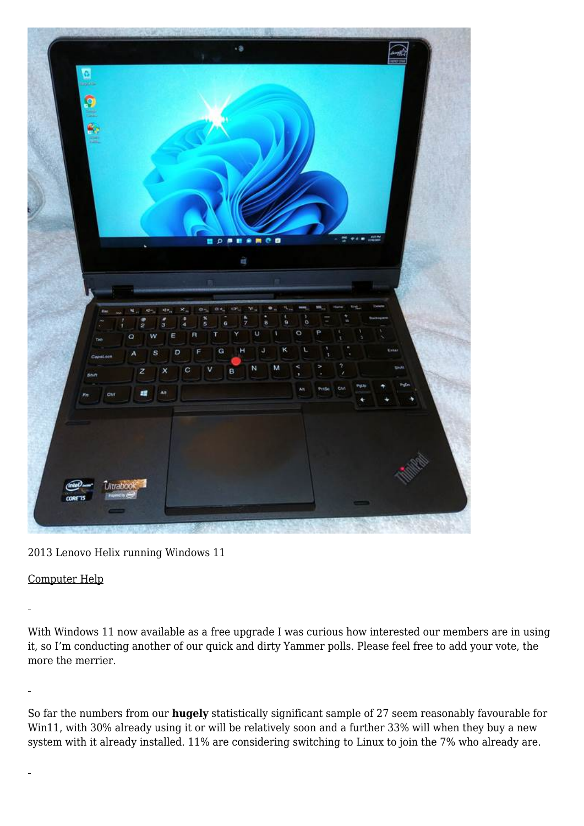

2013 Lenovo Helix running Windows 11

## Computer Help

With Windows 11 now available as a free upgrade I was curious how interested our members are in using it, so I'm conducting another of our quick and dirty Yammer polls. Please feel free to add your vote, the more the merrier.

So far the numbers from our **hugely** statistically significant sample of 27 seem reasonably favourable for Win11, with 30% already using it or will be relatively soon and a further 33% will when they buy a new system with it already installed. 11% are considering switching to Linux to join the 7% who already are.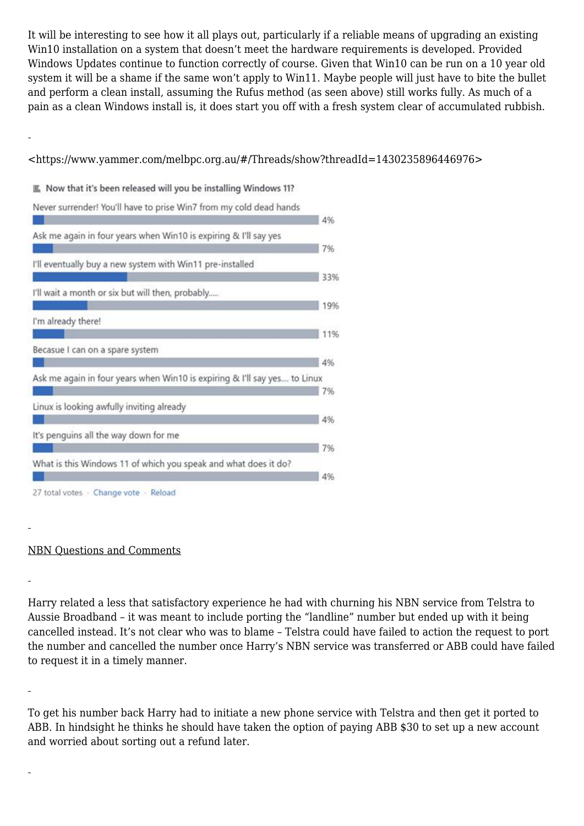It will be interesting to see how it all plays out, particularly if a reliable means of upgrading an existing Win10 installation on a system that doesn't meet the hardware requirements is developed. Provided Windows Updates continue to function correctly of course. Given that Win10 can be run on a 10 year old system it will be a shame if the same won't apply to Win11. Maybe people will just have to bite the bullet and perform a clean install, assuming the Rufus method (as seen above) still works fully. As much of a pain as a clean Windows install is, it does start you off with a fresh system clear of accumulated rubbish.

## <<https://www.yammer.com/melbpc.org.au/#/Threads/show?threadId=1430235896446976>>

Now that it's been released will you be installing Windows 11?



### NBN Questions and Comments

Harry related a less that satisfactory experience he had with churning his NBN service from Telstra to Aussie Broadband – it was meant to include porting the "landline" number but ended up with it being cancelled instead. It's not clear who was to blame – Telstra could have failed to action the request to port the number and cancelled the number once Harry's NBN service was transferred or ABB could have failed to request it in a timely manner.

To get his number back Harry had to initiate a new phone service with Telstra and then get it ported to ABB. In hindsight he thinks he should have taken the option of paying ABB \$30 to set up a new account and worried about sorting out a refund later.